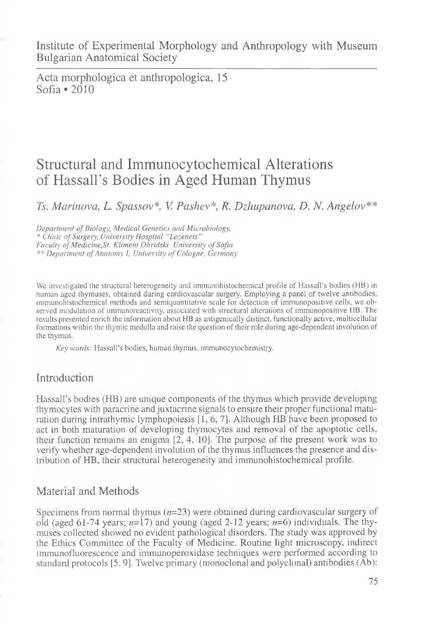Acta morphologica et anthropologica, 15 Sofia \*2010

# Structural and Immunocytochemical Alterations of Hassall's Bodies in Aged Human Thymus

*Ts. Marinova, L. Spcissov\*, V. Pashev\*, R. Dzhupanova, D. N. Angelov\*\**

**Department of Biology, Medical Genetics and Microbiology,** *\* C lin ic o f Su rg ery, U n iv e r sity H o s p ita l " L o z e n e ts " Faculty of Medicine, St. Kliment Ohridski University of Sofia* \*\* Department of Anatomy I, University of Cologne, Germany

We investigated the structural heterogeneity and immunohistochemical profile of Hassall's bodies (HB) in human aged thymuses, obtained during cardiovascular surgery. Employing a panel of twelve antibodies, immunohistochemical methods and semiquantitative scale for detection of immunopositive cells, we observed modulation of immunoreactivity, associated with structural alterations of immunopositive HB. The results presented enrich the information about HB as antigenically distinct, functionally active, multicellular formations within the thymic medulla and raise the question of their role during age-dependent involution of the thymus.

*K e y w o rd s:* Hassall's bodies, human thymus, immunocytochemistry.

## Introduction

Hassall's bodies (HB) are unique components of the thymus which provide developing thymocytes with paracrine and juxtacrine signals to ensure their proper functional maturation during intrathymic lymphopoiesis [1, 6, 7]. Although HB have been proposed to act in both maturation of developing thymocytes and removal of the apoptotic cells, their function remains an enigma [2, 4, 10]. The purpose of the present work was to verify whether age-dependent involution of the thymus influences the presence and distribution of HB, their structural heterogeneity and immunohistochemical profile.

## Material and Methods

Specimens from normal thymus *{n-*23) were obtained during cardiovascular surgery of old (aged 61-74 years;  $n=17$ ) and young (aged 2-12 years;  $n=6$ ) individuals. The thymuses collected showed no evident pathological disorders. The study was approved by the Ethics Committee of the Faculty of Medicine. Routine light microscopy, indirect immunofluorescence and immunoperoxidase techniques were performed according to standard protocols [5, 9]. Twelve primary (monoclonal and polyclonal) antibodies (Ab):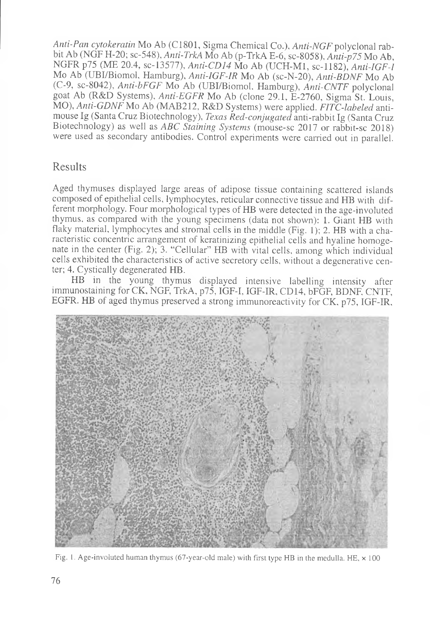*Anti-Pan cytokeratin* Mo Ab (C1801, Sigma Chemical Co.), *Anti-NGF* polyclonal rabbit Ab (NGF H-20; sc-548), *Anti-TrkA* Mo Ab (p-TrkA E-6, sc-8058), *Anti-p75* Mo Ab, NGFR p75 (ME 20.4, sc-13577), *Anti-CD 14* Mo Ab (UCH-M1, sc-1182), *Anti-IGF-I* Mo Ab (UBI/Biomol, Hamburg), *Anti-IGF-IR* Mo Ab (sc-N-20), *Anti-BDNF* Mo Ab (C-9, sc-8042), *Anti-bFGF* Mo Ab (UBI/Biomol. Hamburg), *Anti-CNTF* polyclonal goat Ab (R&D Systems), *Anti-EGFR* Mo Ab (clone 29.1, E-2760, Sigma St. Louis, MO), *Anti-GDNF* Mo Ab (MAB212, R&D Systems) were applied. *FITC-labeled* antimouse Ig (Santa Cruz Biotechnology), *Texas Red-conjugated* anti-rabbit Ig (Santa Cruz Biotechnology) as well as *ABC Staining Systems* (mouse-sc 2017 or rabbit-sc 2018) were used as secondary antibodies. Control experiments were carried out in parallel.

#### Results

Aged thymuses displayed large areas of adipose tissue containing scattered islands composed of epithelial cells, lymphocytes, reticular connective tissue and HB with different morphology. Four morphological types of HB were detected in the age-involuted thymus, as compared with the young specimens (data not shown): 1. Giant HB with flaky material, lymphocytes and stromal cells in the middle (Fig. 1); 2. HB with a characteristic concentric arrangement of keratinizing epithelial cells and hyaline homogenate in the center (Fig. 2); 3. "Cellular" HB with vital cells, among which individual cells exhibited the characteristics of active secretory cells, without a degenerative center; 4. Cystically degenerated HB.

HB in the young thymus displayed intensive labelling intensity after immunostaining for CK, NGF, TrkA, p75, IGF-I, IGF-IR, CD14, bFGF, BDNF, CNTF, EGFR. HB of aged thymus preserved a strong immunoreactivity for CK, p75, IGF-IR,



Fig. 1. Age-involuted human thymus (67-year-old male) with first type HB in the medulla. HE, x 100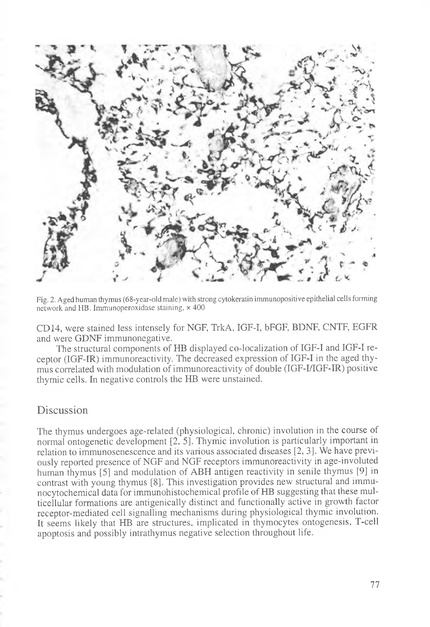

Fig. 2. Aged human thymus (68-year-old male) with strong cytokeratin immunopositive epithelial cells forming network and HB. Immunoperoxidase staining, x 400

CD 14, were stained less intensely for NGF, TrkA, IGF-I, bFGF, BDNF, CNTF, EGFR and were GDNF immunonegative.

The structural components of HB displayed co-localization of IGF-I and IGF-I receptor (IGF-IR) immunoreactivity. The decreased expression of IGF-I in the aged thymus correlated with modulation of immunoreactivity of double (IGF-FIGF-IR) positive thymic cells. In negative controls the HB were unstained.

#### Discussion

The thymus undergoes age-related (physiological, chronic) involution in the course of normal ontogenetic development [2, 5]. Thymic involution is particularly important in relation to immunosenescence and its various associated diseases [2, 3]. We have previously reported presence of NGF and NGF receptors immunoreactivity in age-involuted human thymus [5] and modulation of ABH antigen reactivity in senile thymus [9] in contrast with young thymus [8]. This investigation provides new structural and immunocytochemical data for immunohistochemical profile of FIB suggesting that these multicellular formations are antigenically distinct and functionally active in growth factor receptor-mediated cell signalling mechanisms during physiological thymic involution. It seems likely that HB are structures, implicated in thymocytes ontogenesis, T-cell apoptosis and possibly intrathymus negative selection throughout life.